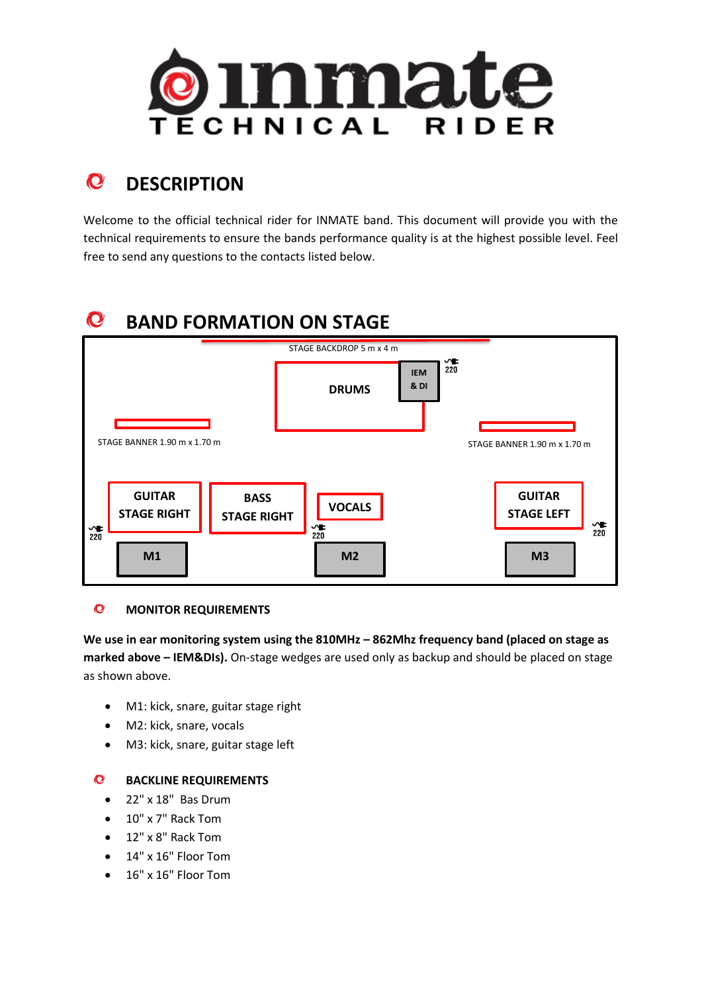

### $\mathbf{C}$ **DESCRIPTION**

Welcome to the official technical rider for INMATE band. This document will provide you with the technical requirements to ensure the bands performance quality is at the highest possible level. Feel free to send any questions to the contacts listed below.

### $\mathbf{C}$ **BAND FORMATION ON STAGE**



#### $\mathbf{C}$ **MONITOR REQUIREMENTS**

We use in ear monitoring system using the 810MHz - 862Mhz frequency band (placed on stage as **marked above – IEM&DIs).** On-stage wedges are used only as backup and should be placed on stage as shown above.

- M1: kick, snare, guitar stage right
- M2: kick, snare, vocals
- M3: kick, snare, guitar stage left

# **BACKLINE REQUIREMENTS**

- 22" x 18" Bas Drum
- 10" x 7" Rack Tom
- 12" x 8" Rack Tom
- 14" x 16" Floor Tom
- 16" x 16" Floor Tom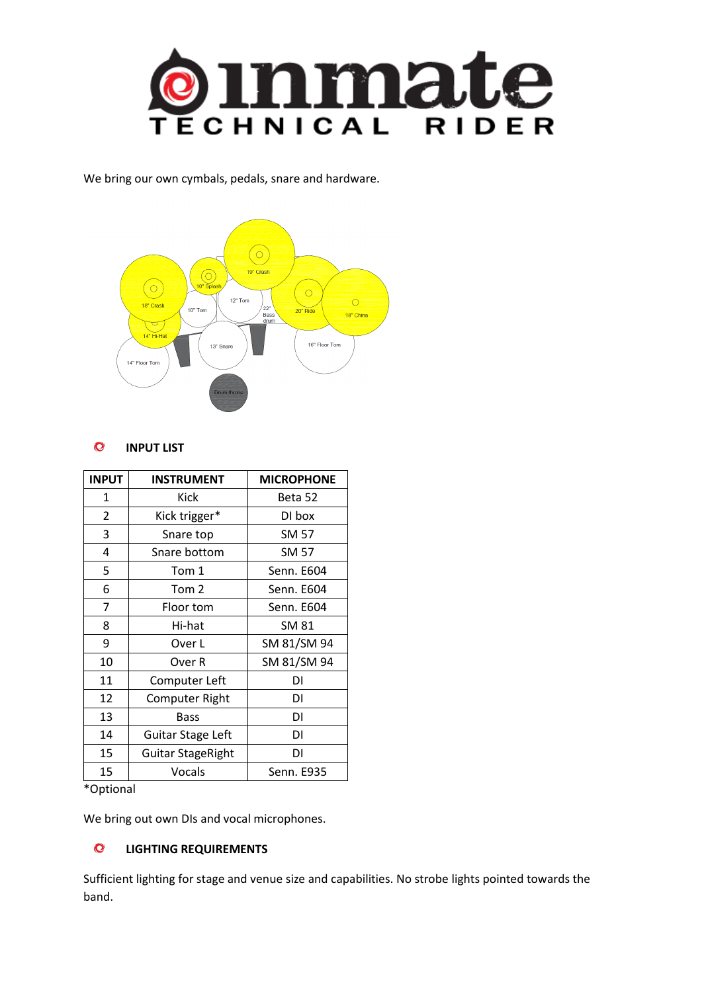

We bring our own cymbals, pedals, snare and hardware.



#### $\mathbf{C}$ **INPUT LIST**

| <b>INPUT</b> | <b>INSTRUMENT</b>        | <b>MICROPHONE</b> |
|--------------|--------------------------|-------------------|
| 1            | Kick                     | Beta 52           |
| 2            | Kick trigger*            | DI box            |
| 3            | Snare top                | SM 57             |
| 4            | Snare bottom             | <b>SM 57</b>      |
| 5            | Tom 1                    | Senn. E604        |
| 6            | Tom 2                    | Senn. E604        |
| 7            | Floor tom                | Senn. E604        |
| 8            | Hi-hat                   | SM 81             |
| 9            | Over L                   | SM 81/SM 94       |
| 10           | Over R                   | SM 81/SM 94       |
| 11           | Computer Left            | DI                |
| 12           | Computer Right           | DI                |
| 13           | Bass                     | DΙ                |
| 14           | Guitar Stage Left        | DΙ                |
| 15           | <b>Guitar StageRight</b> | DΙ                |
| 15           | Vocals                   | Senn. E935        |

\*Optional

We bring out own DIs and vocal microphones.

#### $\bullet$ **LIGHTING REQUIREMENTS**

Sufficient lighting for stage and venue size and capabilities. No strobe lights pointed towards the band.